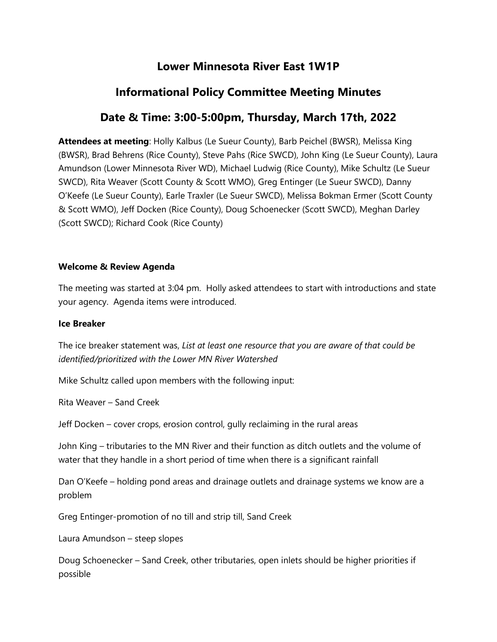# **Lower Minnesota River East 1W1P**

# **Informational Policy Committee Meeting Minutes**

# **Date & Time: 3:00-5:00pm, Thursday, March 17th, 2022**

**Attendees at meeting**: Holly Kalbus (Le Sueur County), Barb Peichel (BWSR), Melissa King (BWSR), Brad Behrens (Rice County), Steve Pahs (Rice SWCD), John King (Le Sueur County), Laura Amundson (Lower Minnesota River WD), Michael Ludwig (Rice County), Mike Schultz (Le Sueur SWCD), Rita Weaver (Scott County & Scott WMO), Greg Entinger (Le Sueur SWCD), Danny O'Keefe (Le Sueur County), Earle Traxler (Le Sueur SWCD), Melissa Bokman Ermer (Scott County & Scott WMO), Jeff Docken (Rice County), Doug Schoenecker (Scott SWCD), Meghan Darley (Scott SWCD); Richard Cook (Rice County)

### **Welcome & Review Agenda**

The meeting was started at 3:04 pm. Holly asked attendees to start with introductions and state your agency. Agenda items were introduced.

#### **Ice Breaker**

The ice breaker statement was, *List at least one resource that you are aware of that could be identified/prioritized with the Lower MN River Watershed*

Mike Schultz called upon members with the following input:

Rita Weaver – Sand Creek

Jeff Docken – cover crops, erosion control, gully reclaiming in the rural areas

John King – tributaries to the MN River and their function as ditch outlets and the volume of water that they handle in a short period of time when there is a significant rainfall

Dan O'Keefe – holding pond areas and drainage outlets and drainage systems we know are a problem

Greg Entinger-promotion of no till and strip till, Sand Creek

Laura Amundson – steep slopes

Doug Schoenecker – Sand Creek, other tributaries, open inlets should be higher priorities if possible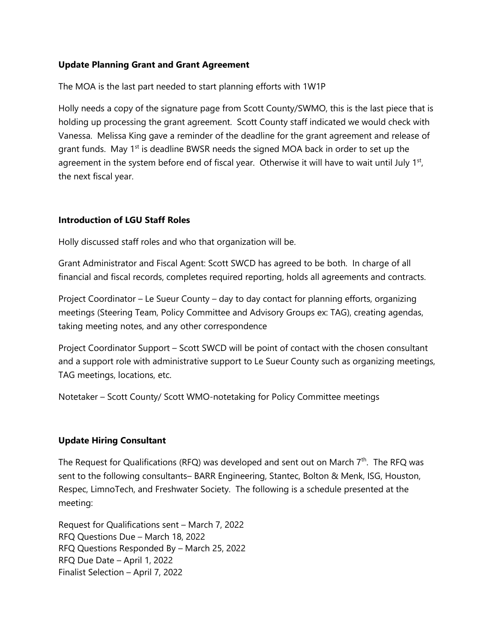### **Update Planning Grant and Grant Agreement**

The MOA is the last part needed to start planning efforts with 1W1P

Holly needs a copy of the signature page from Scott County/SWMO, this is the last piece that is holding up processing the grant agreement. Scott County staff indicated we would check with Vanessa. Melissa King gave a reminder of the deadline for the grant agreement and release of grant funds. May  $1<sup>st</sup>$  is deadline BWSR needs the signed MOA back in order to set up the agreement in the system before end of fiscal year. Otherwise it will have to wait until July  $1<sup>st</sup>$ , the next fiscal year.

#### **Introduction of LGU Staff Roles**

Holly discussed staff roles and who that organization will be.

Grant Administrator and Fiscal Agent: Scott SWCD has agreed to be both. In charge of all financial and fiscal records, completes required reporting, holds all agreements and contracts.

Project Coordinator – Le Sueur County – day to day contact for planning efforts, organizing meetings (Steering Team, Policy Committee and Advisory Groups ex: TAG), creating agendas, taking meeting notes, and any other correspondence

Project Coordinator Support – Scott SWCD will be point of contact with the chosen consultant and a support role with administrative support to Le Sueur County such as organizing meetings, TAG meetings, locations, etc.

Notetaker – Scott County/ Scott WMO-notetaking for Policy Committee meetings

### **Update Hiring Consultant**

The Request for Qualifications (RFQ) was developed and sent out on March  $7<sup>th</sup>$ . The RFQ was sent to the following consultants– BARR Engineering, Stantec, Bolton & Menk, ISG, Houston, Respec, LimnoTech, and Freshwater Society. The following is a schedule presented at the meeting:

Request for Qualifications sent – March 7, 2022 RFQ Questions Due – March 18, 2022 RFQ Questions Responded By – March 25, 2022 RFQ Due Date – April 1, 2022 Finalist Selection – April 7, 2022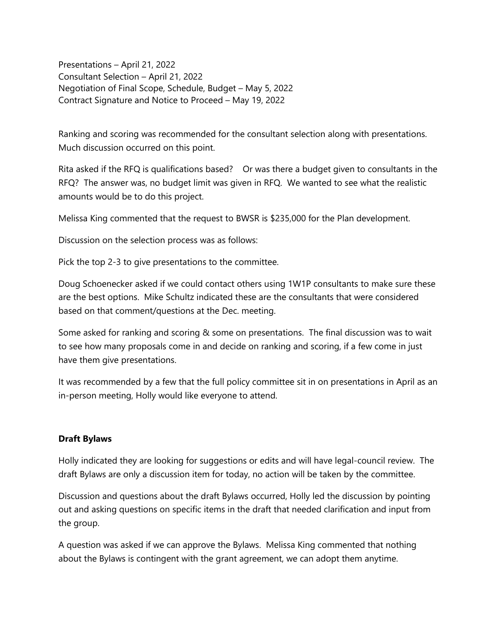Presentations – April 21, 2022 Consultant Selection – April 21, 2022 Negotiation of Final Scope, Schedule, Budget – May 5, 2022 Contract Signature and Notice to Proceed – May 19, 2022

Ranking and scoring was recommended for the consultant selection along with presentations. Much discussion occurred on this point.

Rita asked if the RFQ is qualifications based? Or was there a budget given to consultants in the RFQ? The answer was, no budget limit was given in RFQ. We wanted to see what the realistic amounts would be to do this project.

Melissa King commented that the request to BWSR is \$235,000 for the Plan development.

Discussion on the selection process was as follows:

Pick the top 2-3 to give presentations to the committee.

Doug Schoenecker asked if we could contact others using 1W1P consultants to make sure these are the best options. Mike Schultz indicated these are the consultants that were considered based on that comment/questions at the Dec. meeting.

Some asked for ranking and scoring & some on presentations. The final discussion was to wait to see how many proposals come in and decide on ranking and scoring, if a few come in just have them give presentations.

It was recommended by a few that the full policy committee sit in on presentations in April as an in-person meeting, Holly would like everyone to attend.

#### **Draft Bylaws**

Holly indicated they are looking for suggestions or edits and will have legal-council review. The draft Bylaws are only a discussion item for today, no action will be taken by the committee.

Discussion and questions about the draft Bylaws occurred, Holly led the discussion by pointing out and asking questions on specific items in the draft that needed clarification and input from the group.

A question was asked if we can approve the Bylaws. Melissa King commented that nothing about the Bylaws is contingent with the grant agreement, we can adopt them anytime.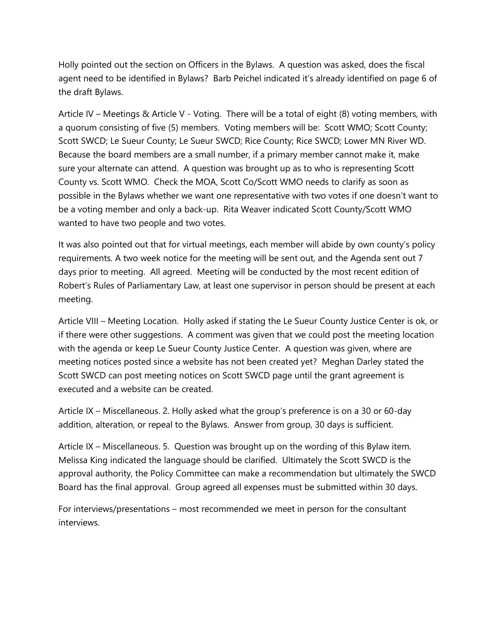Holly pointed out the section on Officers in the Bylaws. A question was asked, does the fiscal agent need to be identified in Bylaws? Barb Peichel indicated it's already identified on page 6 of the draft Bylaws.

Article IV – Meetings & Article V - Voting. There will be a total of eight (8) voting members, with a quorum consisting of five (5) members. Voting members will be: Scott WMO; Scott County; Scott SWCD; Le Sueur County; Le Sueur SWCD; Rice County; Rice SWCD; Lower MN River WD. Because the board members are a small number, if a primary member cannot make it, make sure your alternate can attend. A question was brought up as to who is representing Scott County vs. Scott WMO. Check the MOA, Scott Co/Scott WMO needs to clarify as soon as possible in the Bylaws whether we want one representative with two votes if one doesn't want to be a voting member and only a back-up. Rita Weaver indicated Scott County/Scott WMO wanted to have two people and two votes.

It was also pointed out that for virtual meetings, each member will abide by own county's policy requirements. A two week notice for the meeting will be sent out, and the Agenda sent out 7 days prior to meeting. All agreed. Meeting will be conducted by the most recent edition of Robert's Rules of Parliamentary Law, at least one supervisor in person should be present at each meeting.

Article VIII – Meeting Location. Holly asked if stating the Le Sueur County Justice Center is ok, or if there were other suggestions. A comment was given that we could post the meeting location with the agenda or keep Le Sueur County Justice Center. A question was given, where are meeting notices posted since a website has not been created yet? Meghan Darley stated the Scott SWCD can post meeting notices on Scott SWCD page until the grant agreement is executed and a website can be created.

Article IX – Miscellaneous. 2. Holly asked what the group's preference is on a 30 or 60-day addition, alteration, or repeal to the Bylaws. Answer from group, 30 days is sufficient.

Article IX – Miscellaneous. 5. Question was brought up on the wording of this Bylaw item. Melissa King indicated the language should be clarified. Ultimately the Scott SWCD is the approval authority, the Policy Committee can make a recommendation but ultimately the SWCD Board has the final approval. Group agreed all expenses must be submitted within 30 days.

For interviews/presentations – most recommended we meet in person for the consultant interviews.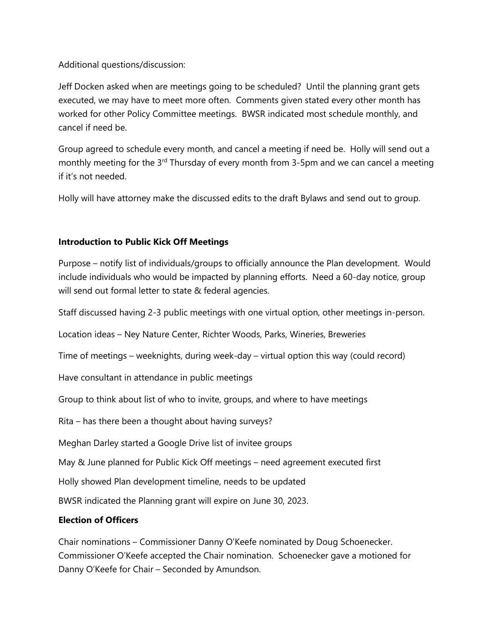Additional questions/discussion:

Jeff Docken asked when are meetings going to be scheduled? Until the planning grant gets executed, we may have to meet more often. Comments given stated every other month has worked for other Policy Committee meetings. BWSR indicated most schedule monthly, and cancel if need be.

Group agreed to schedule every month, and cancel a meeting if need be. Holly will send out a monthly meeting for the  $3<sup>rd</sup>$  Thursday of every month from 3-5pm and we can cancel a meeting if it's not needed.

Holly will have attorney make the discussed edits to the draft Bylaws and send out to group.

## **Introduction to Public Kick Off Meetings**

Purpose – notify list of individuals/groups to officially announce the Plan development. Would include individuals who would be impacted by planning efforts. Need a 60-day notice, group will send out formal letter to state & federal agencies.

Staff discussed having 2-3 public meetings with one virtual option, other meetings in-person.

Location ideas – Ney Nature Center, Richter Woods, Parks, Wineries, Breweries

Time of meetings – weeknights, during week-day – virtual option this way (could record)

Have consultant in attendance in public meetings

Group to think about list of who to invite, groups, and where to have meetings

Rita – has there been a thought about having surveys?

Meghan Darley started a Google Drive list of invitee groups

May & June planned for Public Kick Off meetings – need agreement executed first

Holly showed Plan development timeline, needs to be updated

BWSR indicated the Planning grant will expire on June 30, 2023.

## **Election of Officers**

Chair nominations – Commissioner Danny O'Keefe nominated by Doug Schoenecker. Commissioner O'Keefe accepted the Chair nomination. Schoenecker gave a motioned for Danny O'Keefe for Chair – Seconded by Amundson.